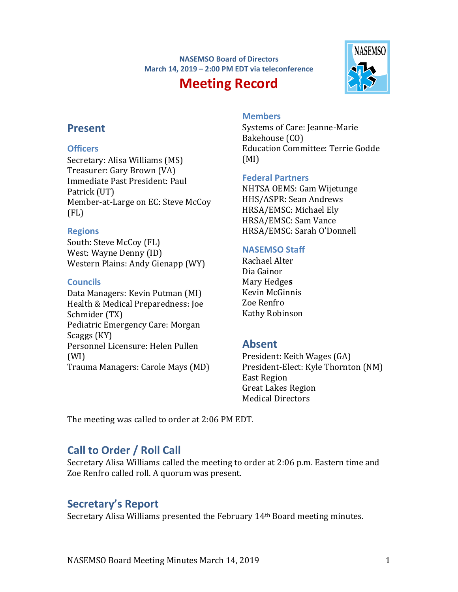#### **NASEMSO Board of Directors March 14, 2019 – 2:00 PM EDT via teleconference**

# **Meeting Record**



# **Present**

### **Officers**

Secretary: Alisa Williams (MS) Treasurer: Gary Brown (VA) Immediate Past President: Paul Patrick (UT) Member-at-Large on EC: Steve McCoy (FL)

### **Regions**

South: Steve McCoy (FL) West: Wayne Denny (ID) Western Plains: Andy Gienapp (WY)

### **Councils**

Data Managers: Kevin Putman (MI) Health & Medical Preparedness: Joe Schmider (TX) Pediatric Emergency Care: Morgan Scaggs (KY) Personnel Licensure: Helen Pullen (WI) Trauma Managers: Carole Mays (MD)

# **Members**

Systems of Care: Jeanne-Marie Bakehouse (CO) Education Committee: Terrie Godde (MI)

### **Federal Partners**

NHTSA OEMS: Gam Wijetunge HHS/ASPR: Sean Andrews HRSA/EMSC: Michael Ely HRSA/EMSC: Sam Vance HRSA/EMSC: Sarah O'Donnell

# **NASEMSO Staff**

Rachael Alter Dia Gainor Mary Hedge**s** Kevin McGinnis Zoe Renfro Kathy Robinson

# **Absent**

President: Keith Wages (GA) President-Elect: Kyle Thornton (NM) East Region Great Lakes Region Medical Directors

The meeting was called to order at 2:06 PM EDT.

# **Call to Order / Roll Call**

Secretary Alisa Williams called the meeting to order at 2:06 p.m. Eastern time and Zoe Renfro called roll. A quorum was present.

# **Secretary's Report**

Secretary Alisa Williams presented the February 14th Board meeting minutes.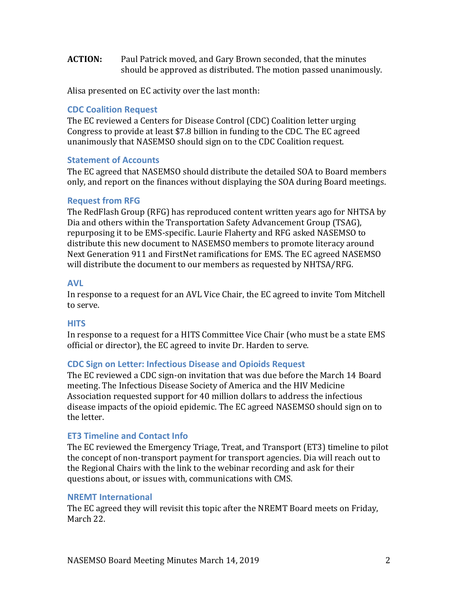**ACTION:** Paul Patrick moved, and Gary Brown seconded, that the minutes should be approved as distributed. The motion passed unanimously.

Alisa presented on EC activity over the last month:

#### **CDC Coalition Request**

The EC reviewed a Centers for Disease Control (CDC) Coalition letter urging Congress to provide at least \$7.8 billion in funding to the CDC. The EC agreed unanimously that NASEMSO should sign on to the CDC Coalition request.

#### **Statement of Accounts**

The EC agreed that NASEMSO should distribute the detailed SOA to Board members only, and report on the finances without displaying the SOA during Board meetings.

#### **Request from RFG**

The RedFlash Group (RFG) has reproduced content written years ago for NHTSA by Dia and others within the Transportation Safety Advancement Group (TSAG), repurposing it to be EMS-specific. Laurie Flaherty and RFG asked NASEMSO to distribute this new document to NASEMSO members to promote literacy around Next Generation 911 and FirstNet ramifications for EMS. The EC agreed NASEMSO will distribute the document to our members as requested by NHTSA/RFG.

### **AVL**

In response to a request for an AVL Vice Chair, the EC agreed to invite Tom Mitchell to serve.

#### **HITS**

In response to a request for a HITS Committee Vice Chair (who must be a state EMS official or director), the EC agreed to invite Dr. Harden to serve.

#### **CDC Sign on Letter: Infectious Disease and Opioids Request**

The EC reviewed a CDC sign-on invitation that was due before the March 14 Board meeting. The Infectious Disease Society of America and the HIV Medicine Association requested support for 40 million dollars to address the infectious disease impacts of the opioid epidemic. The EC agreed NASEMSO should sign on to the letter.

#### **ET3 Timeline and Contact Info**

The EC reviewed the Emergency Triage, Treat, and Transport (ET3) timeline to pilot the concept of non-transport payment for transport agencies. Dia will reach out to the Regional Chairs with the link to the webinar recording and ask for their questions about, or issues with, communications with CMS.

#### **NREMT International**

The EC agreed they will revisit this topic after the NREMT Board meets on Friday, March 22.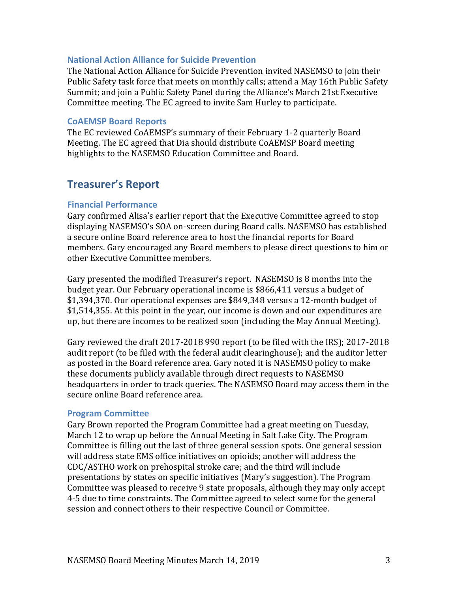#### **National Action Alliance for Suicide Prevention**

The National Action Alliance for Suicide Prevention invited NASEMSO to join their Public Safety task force that meets on monthly calls; attend a May 16th Public Safety Summit; and join a Public Safety Panel during the Alliance's March 21st Executive Committee meeting. The EC agreed to invite Sam Hurley to participate.

#### **CoAEMSP Board Reports**

The EC reviewed CoAEMSP's summary of their February 1-2 quarterly Board Meeting. The EC agreed that Dia should distribute CoAEMSP Board meeting highlights to the NASEMSO Education Committee and Board.

# **Treasurer's Report**

#### **Financial Performance**

Gary confirmed Alisa's earlier report that the Executive Committee agreed to stop displaying NASEMSO's SOA on-screen during Board calls. NASEMSO has established a secure online Board reference area to host the financial reports for Board members. Gary encouraged any Board members to please direct questions to him or other Executive Committee members.

Gary presented the modified Treasurer's report. NASEMSO is 8 months into the budget year. Our February operational income is \$866,411 versus a budget of \$1,394,370. Our operational expenses are \$849,348 versus a 12-month budget of \$1,514,355. At this point in the year, our income is down and our expenditures are up, but there are incomes to be realized soon (including the May Annual Meeting).

Gary reviewed the draft 2017-2018 990 report (to be filed with the IRS); 2017-2018 audit report (to be filed with the federal audit clearinghouse); and the auditor letter as posted in the Board reference area. Gary noted it is NASEMSO policy to make these documents publicly available through direct requests to NASEMSO headquarters in order to track queries. The NASEMSO Board may access them in the secure online Board reference area.

#### **Program Committee**

Gary Brown reported the Program Committee had a great meeting on Tuesday, March 12 to wrap up before the Annual Meeting in Salt Lake City. The Program Committee is filling out the last of three general session spots. One general session will address state EMS office initiatives on opioids; another will address the CDC/ASTHO work on prehospital stroke care; and the third will include presentations by states on specific initiatives (Mary's suggestion). The Program Committee was pleased to receive 9 state proposals, although they may only accept 4-5 due to time constraints. The Committee agreed to select some for the general session and connect others to their respective Council or Committee.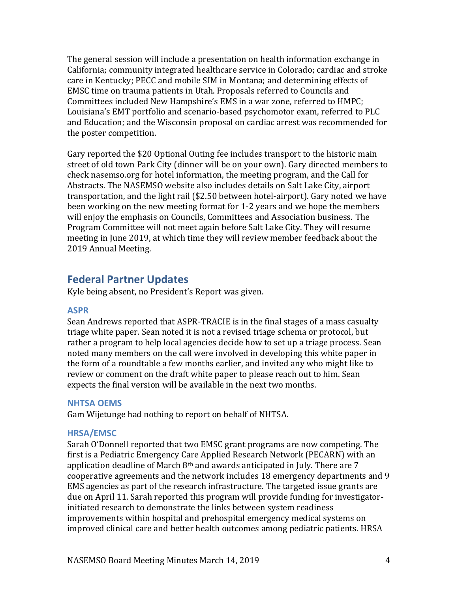The general session will include a presentation on health information exchange in California; community integrated healthcare service in Colorado; cardiac and stroke care in Kentucky; PECC and mobile SIM in Montana; and determining effects of EMSC time on trauma patients in Utah. Proposals referred to Councils and Committees included New Hampshire's EMS in a war zone, referred to HMPC; Louisiana's EMT portfolio and scenario-based psychomotor exam, referred to PLC and Education; and the Wisconsin proposal on cardiac arrest was recommended for the poster competition.

Gary reported the \$20 Optional Outing fee includes transport to the historic main street of old town Park City (dinner will be on your own). Gary directed members to check nasemso.org for hotel information, the meeting program, and the Call for Abstracts. The NASEMSO website also includes details on Salt Lake City, airport transportation, and the light rail (\$2.50 between hotel-airport). Gary noted we have been working on the new meeting format for 1-2 years and we hope the members will enjoy the emphasis on Councils, Committees and Association business. The Program Committee will not meet again before Salt Lake City. They will resume meeting in June 2019, at which time they will review member feedback about the 2019 Annual Meeting.

# **Federal Partner Updates**

Kyle being absent, no President's Report was given.

#### **ASPR**

Sean Andrews reported that ASPR-TRACIE is in the final stages of a mass casualty triage white paper. Sean noted it is not a revised triage schema or protocol, but rather a program to help local agencies decide how to set up a triage process. Sean noted many members on the call were involved in developing this white paper in the form of a roundtable a few months earlier, and invited any who might like to review or comment on the draft white paper to please reach out to him. Sean expects the final version will be available in the next two months.

#### **NHTSA OEMS**

Gam Wijetunge had nothing to report on behalf of NHTSA.

#### **HRSA/EMSC**

Sarah O'Donnell reported that two EMSC grant programs are now competing. The first is a Pediatric Emergency Care Applied Research Network (PECARN) with an application deadline of March  $8<sup>th</sup>$  and awards anticipated in July. There are 7 cooperative agreements and the network includes 18 emergency departments and 9 EMS agencies as part of the research infrastructure. The targeted issue grants are due on April 11. Sarah reported this program will provide funding for investigatorinitiated research to demonstrate the links between system readiness improvements within hospital and prehospital emergency medical systems on improved clinical care and better health outcomes among pediatric patients. HRSA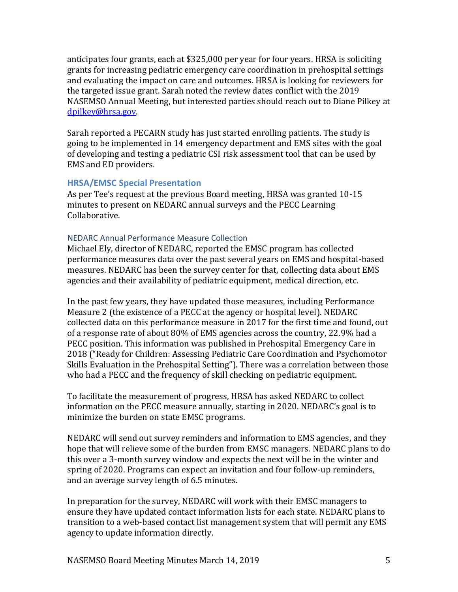anticipates four grants, each at \$325,000 per year for four years. HRSA is soliciting grants for increasing pediatric emergency care coordination in prehospital settings and evaluating the impact on care and outcomes. HRSA is looking for reviewers for the targeted issue grant. Sarah noted the review dates conflict with the 2019 NASEMSO Annual Meeting, but interested parties should reach out to Diane Pilkey at [dpilkey@hrsa.gov.](mailto:dpilkey@hrsa.gov)

Sarah reported a PECARN study has just started enrolling patients. The study is going to be implemented in 14 emergency department and EMS sites with the goal of developing and testing a pediatric CSI risk assessment tool that can be used by EMS and ED providers.

#### **HRSA/EMSC Special Presentation**

As per Tee's request at the previous Board meeting, HRSA was granted 10-15 minutes to present on NEDARC annual surveys and the PECC Learning Collaborative.

#### NEDARC Annual Performance Measure Collection

Michael Ely, director of NEDARC, reported the EMSC program has collected performance measures data over the past several years on EMS and hospital-based measures. NEDARC has been the survey center for that, collecting data about EMS agencies and their availability of pediatric equipment, medical direction, etc.

In the past few years, they have updated those measures, including Performance Measure 2 (the existence of a PECC at the agency or hospital level). NEDARC collected data on this performance measure in 2017 for the first time and found, out of a response rate of about 80% of EMS agencies across the country, 22.9% had a PECC position. This information was published in Prehospital Emergency Care in 2018 ("Ready for Children: Assessing Pediatric Care Coordination and Psychomotor Skills Evaluation in the Prehospital Setting"). There was a correlation between those who had a PECC and the frequency of skill checking on pediatric equipment.

To facilitate the measurement of progress, HRSA has asked NEDARC to collect information on the PECC measure annually, starting in 2020. NEDARC's goal is to minimize the burden on state EMSC programs.

NEDARC will send out survey reminders and information to EMS agencies, and they hope that will relieve some of the burden from EMSC managers. NEDARC plans to do this over a 3-month survey window and expects the next will be in the winter and spring of 2020. Programs can expect an invitation and four follow-up reminders, and an average survey length of 6.5 minutes.

In preparation for the survey, NEDARC will work with their EMSC managers to ensure they have updated contact information lists for each state. NEDARC plans to transition to a web-based contact list management system that will permit any EMS agency to update information directly.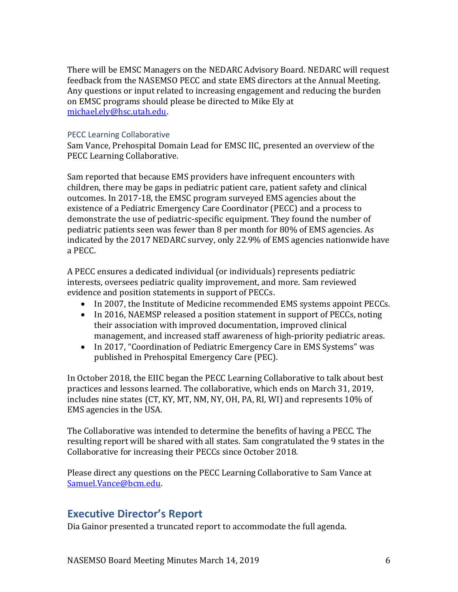There will be EMSC Managers on the NEDARC Advisory Board. NEDARC will request feedback from the NASEMSO PECC and state EMS directors at the Annual Meeting. Any questions or input related to increasing engagement and reducing the burden on EMSC programs should please be directed to Mike Ely at [michael.ely@hsc.utah.edu.](mailto:michael.ely@hsc.utah.edu)

#### PECC Learning Collaborative

Sam Vance, Prehospital Domain Lead for EMSC IIC, presented an overview of the PECC Learning Collaborative.

Sam reported that because EMS providers have infrequent encounters with children, there may be gaps in pediatric patient care, patient safety and clinical outcomes. In 2017-18, the EMSC program surveyed EMS agencies about the existence of a Pediatric Emergency Care Coordinator (PECC) and a process to demonstrate the use of pediatric-specific equipment. They found the number of pediatric patients seen was fewer than 8 per month for 80% of EMS agencies. As indicated by the 2017 NEDARC survey, only 22.9% of EMS agencies nationwide have a PECC.

A PECC ensures a dedicated individual (or individuals) represents pediatric interests, oversees pediatric quality improvement, and more. Sam reviewed evidence and position statements in support of PECCs.

- In 2007, the Institute of Medicine recommended EMS systems appoint PECCs.
- In 2016, NAEMSP released a position statement in support of PECCs, noting their association with improved documentation, improved clinical management, and increased staff awareness of high-priority pediatric areas.
- In 2017, "Coordination of Pediatric Emergency Care in EMS Systems" was published in Prehospital Emergency Care (PEC).

In October 2018, the EIIC began the PECC Learning Collaborative to talk about best practices and lessons learned. The collaborative, which ends on March 31, 2019, includes nine states (CT, KY, MT, NM, NY, OH, PA, RI, WI) and represents 10% of EMS agencies in the USA.

The Collaborative was intended to determine the benefits of having a PECC. The resulting report will be shared with all states. Sam congratulated the 9 states in the Collaborative for increasing their PECCs since October 2018.

Please direct any questions on the PECC Learning Collaborative to Sam Vance at [Samuel.Vance@bcm.edu.](mailto:Samuel.Vance@bcm.edu)

# **Executive Director's Report**

Dia Gainor presented a truncated report to accommodate the full agenda.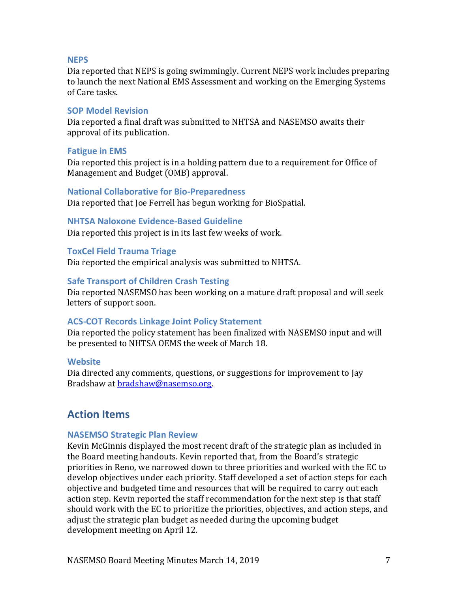#### **NEPS**

Dia reported that NEPS is going swimmingly. Current NEPS work includes preparing to launch the next National EMS Assessment and working on the Emerging Systems of Care tasks.

#### **SOP Model Revision**

Dia reported a final draft was submitted to NHTSA and NASEMSO awaits their approval of its publication.

#### **Fatigue in EMS**

Dia reported this project is in a holding pattern due to a requirement for Office of Management and Budget (OMB) approval.

#### **National Collaborative for Bio-Preparedness**

Dia reported that Joe Ferrell has begun working for BioSpatial.

#### **NHTSA Naloxone Evidence-Based Guideline**

Dia reported this project is in its last few weeks of work.

#### **ToxCel Field Trauma Triage**

Dia reported the empirical analysis was submitted to NHTSA.

#### **Safe Transport of Children Crash Testing**

Dia reported NASEMSO has been working on a mature draft proposal and will seek letters of support soon.

#### **ACS-COT Records Linkage Joint Policy Statement**

Dia reported the policy statement has been finalized with NASEMSO input and will be presented to NHTSA OEMS the week of March 18.

#### **Website**

Dia directed any comments, questions, or suggestions for improvement to Jay Bradshaw at [bradshaw@nasemso.org.](mailto:bradshaw@nasemso.org)

# **Action Items**

#### **NASEMSO Strategic Plan Review**

Kevin McGinnis displayed the most recent draft of the strategic plan as included in the Board meeting handouts. Kevin reported that, from the Board's strategic priorities in Reno, we narrowed down to three priorities and worked with the EC to develop objectives under each priority. Staff developed a set of action steps for each objective and budgeted time and resources that will be required to carry out each action step. Kevin reported the staff recommendation for the next step is that staff should work with the EC to prioritize the priorities, objectives, and action steps, and adjust the strategic plan budget as needed during the upcoming budget development meeting on April 12.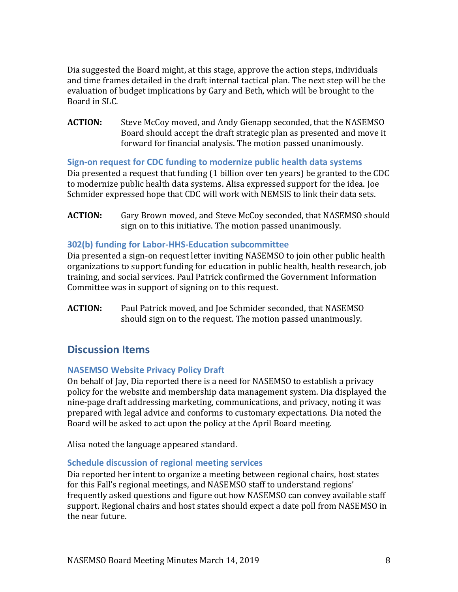Dia suggested the Board might, at this stage, approve the action steps, individuals and time frames detailed in the draft internal tactical plan. The next step will be the evaluation of budget implications by Gary and Beth, which will be brought to the Board in SLC.

**ACTION:** Steve McCoy moved, and Andy Gienapp seconded, that the NASEMSO Board should accept the draft strategic plan as presented and move it forward for financial analysis. The motion passed unanimously.

**Sign-on request for CDC funding to modernize public health data systems** Dia presented a request that funding (1 billion over ten years) be granted to the CDC to modernize public health data systems. Alisa expressed support for the idea. Joe Schmider expressed hope that CDC will work with NEMSIS to link their data sets.

**ACTION:** Gary Brown moved, and Steve McCoy seconded, that NASEMSO should sign on to this initiative. The motion passed unanimously.

#### **302(b) funding for Labor-HHS-Education subcommittee**

Dia presented a sign-on request letter inviting NASEMSO to join other public health organizations to support funding for education in public health, health research, job training, and social services. Paul Patrick confirmed the Government Information Committee was in support of signing on to this request.

**ACTION:** Paul Patrick moved, and Joe Schmider seconded, that NASEMSO should sign on to the request. The motion passed unanimously.

# **Discussion Items**

#### **NASEMSO Website Privacy Policy Draft**

On behalf of Jay, Dia reported there is a need for NASEMSO to establish a privacy policy for the website and membership data management system. Dia displayed the nine-page draft addressing marketing, communications, and privacy, noting it was prepared with legal advice and conforms to customary expectations. Dia noted the Board will be asked to act upon the policy at the April Board meeting.

Alisa noted the language appeared standard.

#### **Schedule discussion of regional meeting services**

Dia reported her intent to organize a meeting between regional chairs, host states for this Fall's regional meetings, and NASEMSO staff to understand regions' frequently asked questions and figure out how NASEMSO can convey available staff support. Regional chairs and host states should expect a date poll from NASEMSO in the near future.